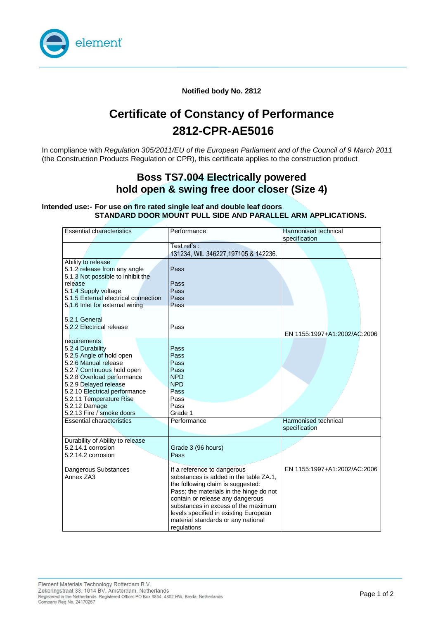

**Notified body No. 2812**

# **Certificate of Constancy of Performance 2812-CPR-AE5016**

In compliance with *Regulation 305/2011/EU of the European Parliament and of the Council of 9 March 2011*  (the Construction Products Regulation or CPR), this certificate applies to the construction product

#### **Boss TS7.004 Electrically powered hold open & swing free door closer (Size 4)**

#### **Intended use:- For use on fire rated single leaf and double leaf doors STANDARD DOOR MOUNT PULL SIDE AND PARALLEL ARM APPLICATIONS.**

| <b>Essential characteristics</b>                                                                                                                                                                                                                                                    | Performance                                                                                                                                                                                                                                                                                                                    | Harmonised technical<br>specification |
|-------------------------------------------------------------------------------------------------------------------------------------------------------------------------------------------------------------------------------------------------------------------------------------|--------------------------------------------------------------------------------------------------------------------------------------------------------------------------------------------------------------------------------------------------------------------------------------------------------------------------------|---------------------------------------|
|                                                                                                                                                                                                                                                                                     | Test ref's:<br>131234, WIL 346227, 197105 & 142236.                                                                                                                                                                                                                                                                            |                                       |
| Ability to release<br>5.1.2 release from any angle<br>5.1.3 Not possible to inhibit the<br>release<br>5.1.4 Supply voltage<br>5.1.5 External electrical connection<br>5.1.6 Inlet for external wiring                                                                               | Pass<br>Pass<br>Pass<br>Pass<br>Pass                                                                                                                                                                                                                                                                                           |                                       |
| 5.2.1 General<br>5.2.2 Electrical release                                                                                                                                                                                                                                           | Pass                                                                                                                                                                                                                                                                                                                           | EN 1155:1997+A1:2002/AC:2006          |
| requirements<br>5.2.4 Durability<br>5.2.5 Angle of hold open<br>5.2.6 Manual release<br>5.2.7 Continuous hold open<br>5.2.8 Overload performance<br>5.2.9 Delayed release<br>5.2.10 Electrical performance<br>5.2.11 Temperature Rise<br>5.2.12 Damage<br>5.2.13 Fire / smoke doors | Pass<br>Pass<br>Pass<br>Pass<br><b>NPD</b><br><b>NPD</b><br>Pass<br>Pass<br>Pass<br>Grade 1                                                                                                                                                                                                                                    |                                       |
| <b>Essential characteristics</b>                                                                                                                                                                                                                                                    | Performance                                                                                                                                                                                                                                                                                                                    | Harmonised technical<br>specification |
| Durability of Ability to release<br>5.2.14.1 corrosion<br>5.2.14.2 corrosion                                                                                                                                                                                                        | Grade 3 (96 hours)<br>Pass                                                                                                                                                                                                                                                                                                     |                                       |
| Dangerous Substances<br>Annex ZA3                                                                                                                                                                                                                                                   | If a reference to dangerous<br>substances is added in the table ZA.1.<br>the following claim is suggested:<br>Pass: the materials in the hinge do not<br>contain or release any dangerous<br>substances in excess of the maximum<br>levels specified in existing European<br>material standards or any national<br>regulations | EN 1155:1997+A1:2002/AC:2006          |